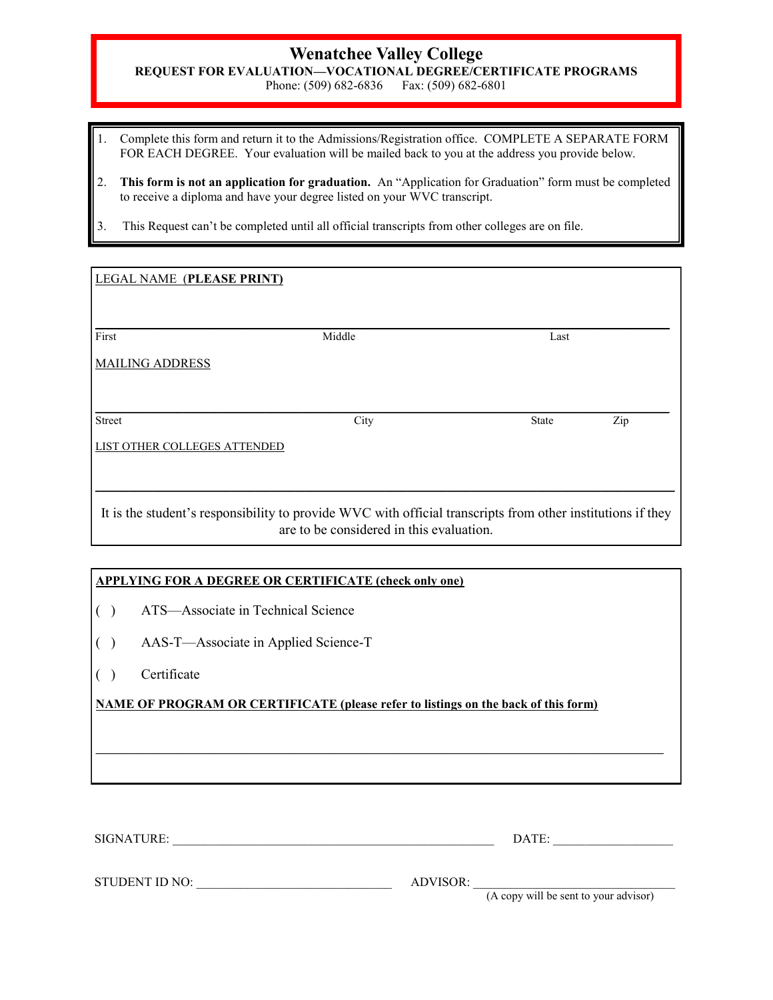# **Wenatchee Valley College**

**REQUEST FOR EVALUATION—VOCATIONAL DEGREE/CERTIFICATE PROGRAMS**

Phone: (509) 682-6836 Fax: (509) 682-6801

- 1. Complete this form and return it to the Admissions/Registration office. COMPLETE A SEPARATE FORM FOR EACH DEGREE. Your evaluation will be mailed back to you at the address you provide below.
- 2. **This form is not an application for graduation.** An "Application for Graduation" form must be completed to receive a diploma and have your degree listed on your WVC transcript.
- 3. This Request can't be completed until all official transcripts from other colleges are on file.

| First                        | Middle | Last         |     |  |
|------------------------------|--------|--------------|-----|--|
| <b>MAILING ADDRESS</b>       |        |              |     |  |
|                              |        |              |     |  |
| <b>Street</b>                | City   | <b>State</b> | Zip |  |
| LIST OTHER COLLEGES ATTENDED |        |              |     |  |
|                              |        |              |     |  |

## **APPLYING FOR A DEGREE OR CERTIFICATE (check only one)**

- ( ) ATS—Associate in Technical Science
- ( ) AAS-T—Associate in Applied Science-T
- ( ) Certificate

# **NAME OF PROGRAM OR CERTIFICATE (please refer to listings on the back of this form)**

 $\mathcal{L}_\mathcal{L} = \mathcal{L}_\mathcal{L} = \mathcal{L}_\mathcal{L} = \mathcal{L}_\mathcal{L} = \mathcal{L}_\mathcal{L} = \mathcal{L}_\mathcal{L} = \mathcal{L}_\mathcal{L} = \mathcal{L}_\mathcal{L} = \mathcal{L}_\mathcal{L} = \mathcal{L}_\mathcal{L} = \mathcal{L}_\mathcal{L} = \mathcal{L}_\mathcal{L} = \mathcal{L}_\mathcal{L} = \mathcal{L}_\mathcal{L} = \mathcal{L}_\mathcal{L} = \mathcal{L}_\mathcal{L} = \mathcal{L}_\mathcal{L}$ 

| THR E<br><b>SIG</b><br>n i |  |
|----------------------------|--|
|                            |  |

| I |  |
|---|--|

STUDENT ID NO: \_\_\_\_\_\_\_\_\_\_\_\_\_\_\_\_\_\_\_\_\_\_\_\_\_\_\_\_\_\_\_ ADVISOR: \_\_\_\_\_\_\_\_\_\_\_\_\_\_\_\_\_\_\_\_\_\_\_\_\_\_\_\_\_\_\_\_

(A copy will be sent to your advisor)